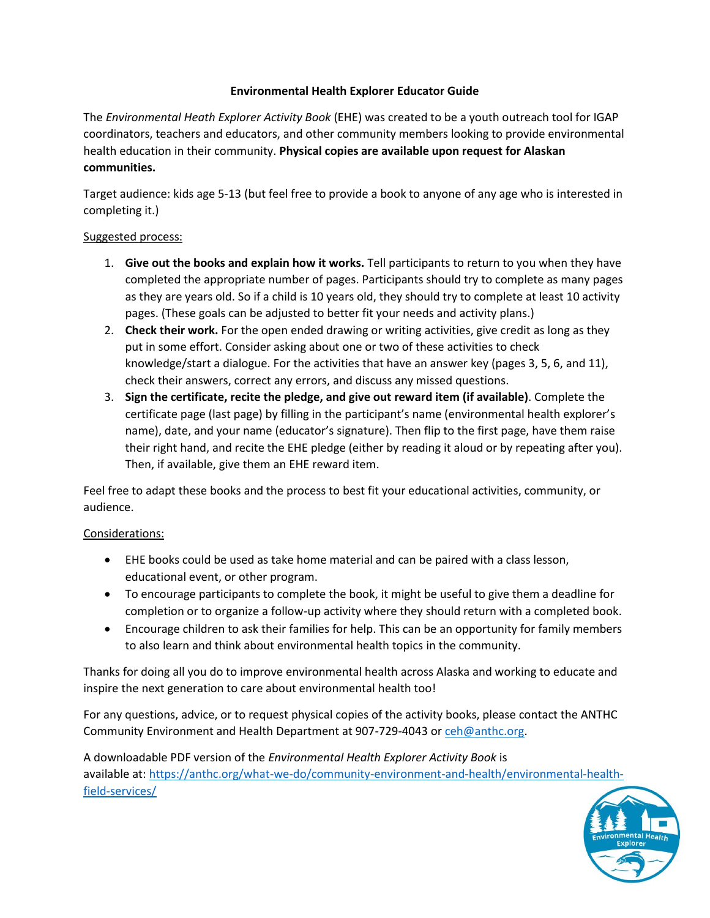## **Environmental Health Explorer Educator Guide**

The *Environmental Heath Explorer Activity Book* (EHE) was created to be a youth outreach tool for IGAP coordinators, teachers and educators, and other community members looking to provide environmental health education in their community. **Physical copies are available upon request for Alaskan communities.** 

Target audience: kids age 5-13 (but feel free to provide a book to anyone of any age who is interested in completing it.)

## Suggested process:

- 1. **Give out the books and explain how it works.** Tell participants to return to you when they have completed the appropriate number of pages. Participants should try to complete as many pages as they are years old. So if a child is 10 years old, they should try to complete at least 10 activity pages. (These goals can be adjusted to better fit your needs and activity plans.)
- 2. **Check their work.** For the open ended drawing or writing activities, give credit as long as they put in some effort. Consider asking about one or two of these activities to check knowledge/start a dialogue. For the activities that have an answer key (pages 3, 5, 6, and 11), check their answers, correct any errors, and discuss any missed questions.
- 3. **Sign the certificate, recite the pledge, and give out reward item (if available)**. Complete the certificate page (last page) by filling in the participant's name (environmental health explorer's name), date, and your name (educator's signature). Then flip to the first page, have them raise their right hand, and recite the EHE pledge (either by reading it aloud or by repeating after you). Then, if available, give them an EHE reward item.

Feel free to adapt these books and the process to best fit your educational activities, community, or audience.

# Considerations:

- EHE books could be used as take home material and can be paired with a class lesson, educational event, or other program.
- To encourage participants to complete the book, it might be useful to give them a deadline for completion or to organize a follow-up activity where they should return with a completed book.
- Encourage children to ask their families for help. This can be an opportunity for family members to also learn and think about environmental health topics in the community.

Thanks for doing all you do to improve environmental health across Alaska and working to educate and inspire the next generation to care about environmental health too!

For any questions, advice, or to request physical copies of the activity books, please contact the ANTHC Community Environment and Health Department at 907-729-4043 o[r ceh@anthc.org.](mailto:ceh@anthc.org)

A downloadable PDF version of the *Environmental Health Explorer Activity Book* is available at[: https://anthc.org/what-we-do/community-environment-and-health/environmental-health](https://anthc.org/what-we-do/community-environment-and-health/environmental-health-field-services/)[field-services/](https://anthc.org/what-we-do/community-environment-and-health/environmental-health-field-services/)

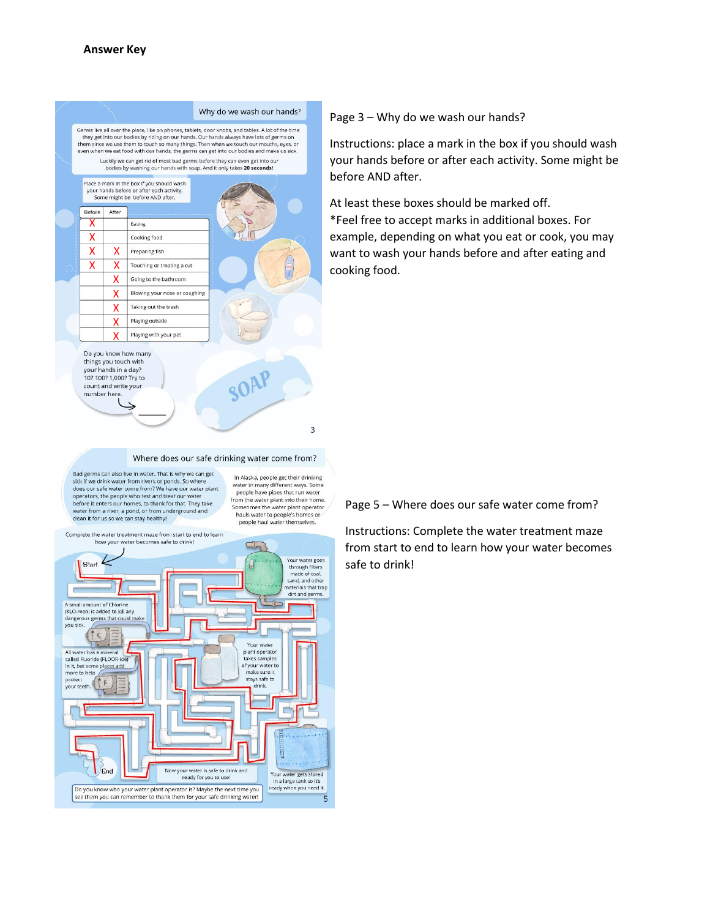

## Page 3 – Why do we wash our hands?

Instructions: place a mark in the box if you should wash your hands before or after each activity. Some might be before AND after.

At least these boxes should be marked off.

\*Feel free to accept marks in additional boxes. For example, depending on what you eat or cook, you may want to wash your hands before and after eating and cooking food.

#### Where does our safe drinking water come from?

Bad germs can also live in water. That is why we can get sick if we drink water from rivers or ponds. So where does our safe water come from? We have our water plant operators, the people who test and treat our w before it enters our homes, to thank for that. They take water from a river, a pond, or from underground and<br>clean it for us so we can stay healthy!

In Alaska, people get their drinking water in many different ways. Some people have pipes that run water from the water plant into their home. Sometimes the water plant operator<br>hauls water to people's homes or people haul water themselves.

 $\overline{3}$ 



Page 5 – Where does our safe water come from?

Instructions: Complete the water treatment maze from start to end to learn how your water becomes safe to drink!